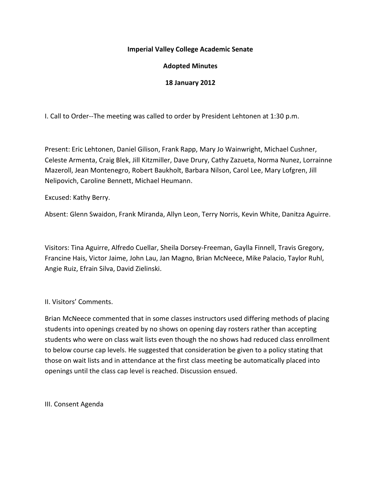## **Imperial Valley College Academic Senate**

# **Adopted Minutes**

### **18 January 2012**

I. Call to Order--The meeting was called to order by President Lehtonen at 1:30 p.m.

Present: Eric Lehtonen, Daniel Gilison, Frank Rapp, Mary Jo Wainwright, Michael Cushner, Celeste Armenta, Craig Blek, Jill Kitzmiller, Dave Drury, Cathy Zazueta, Norma Nunez, Lorrainne Mazeroll, Jean Montenegro, Robert Baukholt, Barbara Nilson, Carol Lee, Mary Lofgren, Jill Nelipovich, Caroline Bennett, Michael Heumann.

Excused: Kathy Berry.

Absent: Glenn Swaidon, Frank Miranda, Allyn Leon, Terry Norris, Kevin White, Danitza Aguirre.

Visitors: Tina Aguirre, Alfredo Cuellar, Sheila Dorsey-Freeman, Gaylla Finnell, Travis Gregory, Francine Hais, Victor Jaime, John Lau, Jan Magno, Brian McNeece, Mike Palacio, Taylor Ruhl, Angie Ruiz, Efrain Silva, David Zielinski.

II. Visitors' Comments.

Brian McNeece commented that in some classes instructors used differing methods of placing students into openings created by no shows on opening day rosters rather than accepting students who were on class wait lists even though the no shows had reduced class enrollment to below course cap levels. He suggested that consideration be given to a policy stating that those on wait lists and in attendance at the first class meeting be automatically placed into openings until the class cap level is reached. Discussion ensued.

III. Consent Agenda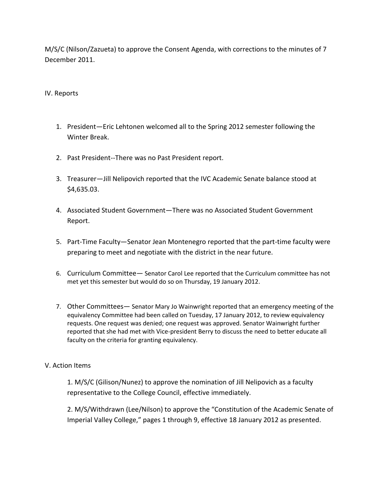M/S/C (Nilson/Zazueta) to approve the Consent Agenda, with corrections to the minutes of 7 December 2011.

## IV. Reports

- 1. President—Eric Lehtonen welcomed all to the Spring 2012 semester following the Winter Break.
- 2. Past President--There was no Past President report.
- 3. Treasurer—Jill Nelipovich reported that the IVC Academic Senate balance stood at \$4,635.03.
- 4. Associated Student Government—There was no Associated Student Government Report.
- 5. Part-Time Faculty—Senator Jean Montenegro reported that the part-time faculty were preparing to meet and negotiate with the district in the near future.
- 6. Curriculum Committee— Senator Carol Lee reported that the Curriculum committee has not met yet this semester but would do so on Thursday, 19 January 2012.
- 7. Other Committees— Senator Mary Jo Wainwright reported that an emergency meeting of the equivalency Committee had been called on Tuesday, 17 January 2012, to review equivalency requests. One request was denied; one request was approved. Senator Wainwright further reported that she had met with Vice-president Berry to discuss the need to better educate all faculty on the criteria for granting equivalency.

#### V. Action Items

1. M/S/C (Gilison/Nunez) to approve the nomination of Jill Nelipovich as a faculty representative to the College Council, effective immediately.

2. M/S/Withdrawn (Lee/Nilson) to approve the "Constitution of the Academic Senate of Imperial Valley College," pages 1 through 9, effective 18 January 2012 as presented.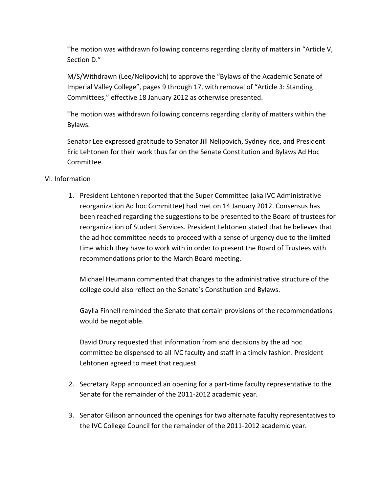The motion was withdrawn following concerns regarding clarity of matters in "Article V, Section D."

M/S/Withdrawn (Lee/Nelipovich) to approve the "Bylaws of the Academic Senate of Imperial Valley College", pages 9 through 17, with removal of "Article 3: Standing Committees," effective 18 January 2012 as otherwise presented.

The motion was withdrawn following concerns regarding clarity of matters within the Bylaws.

Senator Lee expressed gratitude to Senator Jill Nelipovich, Sydney rice, and President Eric Lehtonen for their work thus far on the Senate Constitution and Bylaws Ad Hoc Committee.

# VI. Information

1. President Lehtonen reported that the Super Committee (aka IVC Administrative reorganization Ad hoc Committee) had met on 14 January 2012. Consensus has been reached regarding the suggestions to be presented to the Board of trustees for reorganization of Student Services. President Lehtonen stated that he believes that the ad hoc committee needs to proceed with a sense of urgency due to the limited time which they have to work with in order to present the Board of Trustees with recommendations prior to the March Board meeting.

Michael Heumann commented that changes to the administrative structure of the college could also reflect on the Senate's Constitution and Bylaws.

Gaylla Finnell reminded the Senate that certain provisions of the recommendations would be negotiable.

David Drury requested that information from and decisions by the ad hoc committee be dispensed to all IVC faculty and staff in a timely fashion. President Lehtonen agreed to meet that request.

- 2. Secretary Rapp announced an opening for a part-time faculty representative to the Senate for the remainder of the 2011-2012 academic year.
- 3. Senator Gilison announced the openings for two alternate faculty representatives to the IVC College Council for the remainder of the 2011-2012 academic year.